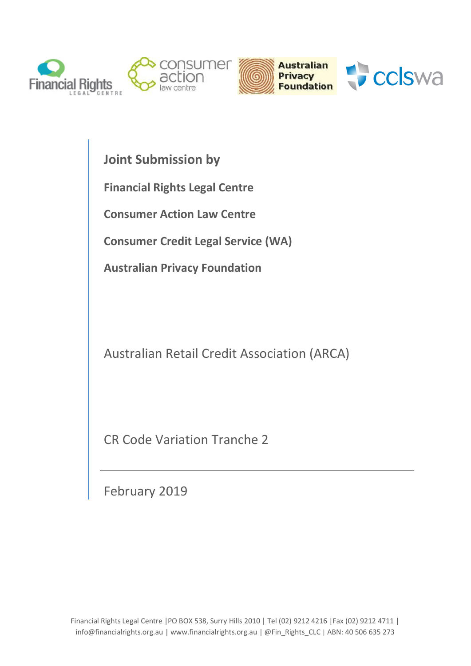

**Joint Submission by**

**Financial Rights Legal Centre** 

**Consumer Action Law Centre**

**Consumer Credit Legal Service (WA)**

**Australian Privacy Foundation** 

Australian Retail Credit Association (ARCA)

CR Code Variation Tranche 2

February 2019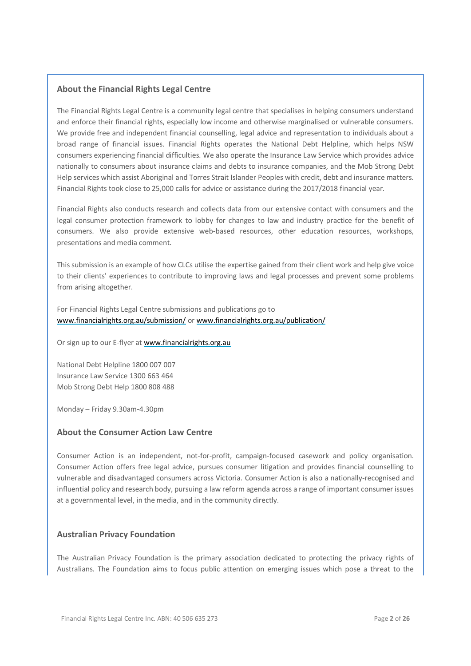## **About the Financial Rights Legal Centre**

The Financial Rights Legal Centre is a community legal centre that specialises in helping consumers understand and enforce their financial rights, especially low income and otherwise marginalised or vulnerable consumers. We provide free and independent financial counselling, legal advice and representation to individuals about a broad range of financial issues. Financial Rights operates the National Debt Helpline, which helps NSW consumers experiencing financial difficulties. We also operate the Insurance Law Service which provides advice nationally to consumers about insurance claims and debts to insurance companies, and the Mob Strong Debt Help services which assist Aboriginal and Torres Strait Islander Peoples with credit, debt and insurance matters. Financial Rights took close to 25,000 calls for advice or assistance during the 2017/2018 financial year.

Financial Rights also conducts research and collects data from our extensive contact with consumers and the legal consumer protection framework to lobby for changes to law and industry practice for the benefit of consumers. We also provide extensive web-based resources, other education resources, workshops, presentations and media comment.

This submission is an example of how CLCs utilise the expertise gained from their client work and help give voice to their clients' experiences to contribute to improving laws and legal processes and prevent some problems from arising altogether.

For Financial Rights Legal Centre submissions and publications go to [www.financialrights.org.au/submission/](http://www.financialrights.org.au/submission/) o[r www.financialrights.org.au/publication/](http://www.financialrights.org.au/publication/)

Or sign up to our E-flyer a[t www.financialrights.org.au](http://www.financialrights.org.au/)

National Debt Helpline 1800 007 007 Insurance Law Service 1300 663 464 Mob Strong Debt Help 1800 808 488

Monday – Friday 9.30am-4.30pm

## **About the Consumer Action Law Centre**

Consumer Action is an independent, not-for-profit, campaign-focused casework and policy organisation. Consumer Action offers free legal advice, pursues consumer litigation and provides financial counselling to vulnerable and disadvantaged consumers across Victoria. Consumer Action is also a nationally-recognised and influential policy and research body, pursuing a law reform agenda across a range of important consumer issues at a governmental level, in the media, and in the community directly.

### **Australian Privacy Foundation**

The Australian Privacy Foundation is the primary association dedicated to protecting the privacy rights of Australians. The Foundation aims to focus public attention on emerging issues which pose a threat to the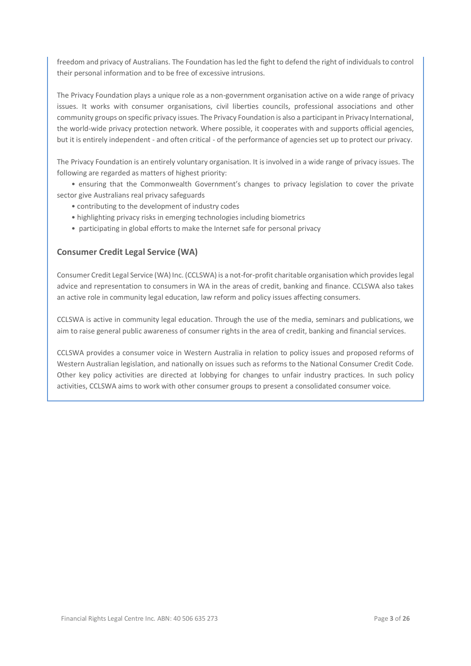freedom and privacy of Australians. The Foundation has led the fight to defend the right of individuals to control their personal information and to be free of excessive intrusions.

The Privacy Foundation plays a unique role as a non-government organisation active on a wide range of privacy issues. It works with consumer organisations, civil liberties councils, professional associations and other community groups on specific privacy issues. The Privacy Foundation is also a participant in Privacy International, the world-wide privacy protection network. Where possible, it cooperates with and supports official agencies, but it is entirely independent - and often critical - of the performance of agencies set up to protect our privacy.

The Privacy Foundation is an entirely voluntary organisation. It is involved in a wide range of privacy issues. The following are regarded as matters of highest priority:

 • ensuring that the Commonwealth Government's changes to privacy legislation to cover the private sector give Australians real privacy safeguards

- contributing to the development of industry codes
- highlighting privacy risks in emerging technologies including biometrics
- participating in global efforts to make the Internet safe for personal privacy

### **Consumer Credit Legal Service (WA)**

Consumer Credit Legal Service (WA) Inc. (CCLSWA) is a not-for-profit charitable organisation which provides legal advice and representation to consumers in WA in the areas of credit, banking and finance. CCLSWA also takes an active role in community legal education, law reform and policy issues affecting consumers.

CCLSWA is active in community legal education. Through the use of the media, seminars and publications, we aim to raise general public awareness of consumer rights in the area of credit, banking and financial services.

CCLSWA provides a consumer voice in Western Australia in relation to policy issues and proposed reforms of Western Australian legislation, and nationally on issues such as reforms to the National Consumer Credit Code. Other key policy activities are directed at lobbying for changes to unfair industry practices. In such policy activities, CCLSWA aims to work with other consumer groups to present a consolidated consumer voice.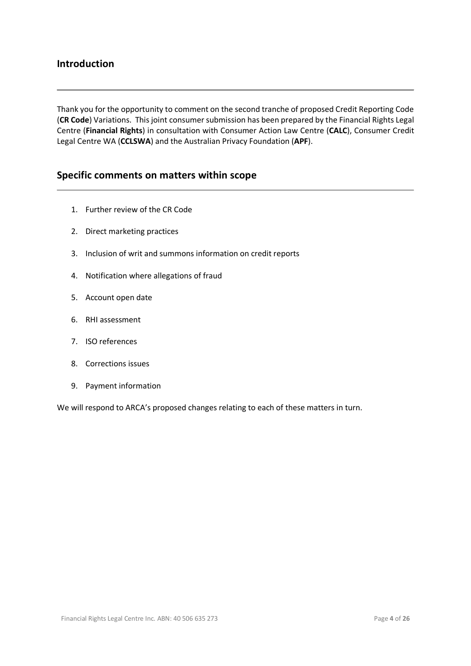# **Introduction**

Thank you for the opportunity to comment on the second tranche of proposed Credit Reporting Code (**CR Code**) Variations. This joint consumer submission has been prepared by the Financial Rights Legal Centre (**Financial Rights**) in consultation with Consumer Action Law Centre (**CALC**), Consumer Credit Legal Centre WA (**CCLSWA**) and the Australian Privacy Foundation (**APF**).

# **Specific comments on matters within scope**

- 1. Further review of the CR Code
- 2. Direct marketing practices
- 3. Inclusion of writ and summons information on credit reports
- 4. Notification where allegations of fraud
- 5. Account open date
- 6. RHI assessment
- 7. ISO references
- 8. Corrections issues
- 9. Payment information

We will respond to ARCA's proposed changes relating to each of these matters in turn.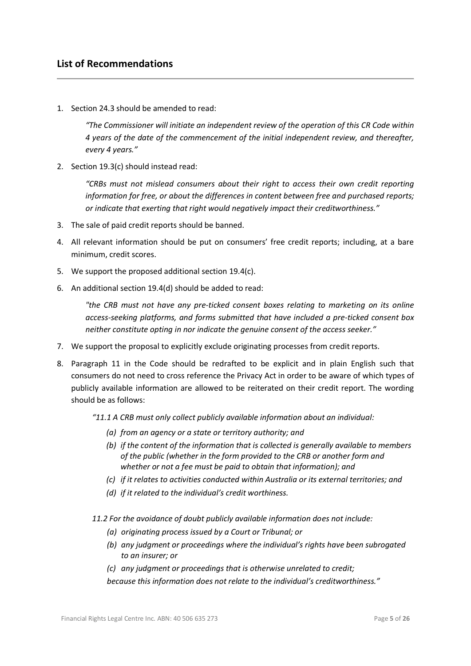1. Section 24.3 should be amended to read:

*"The Commissioner will initiate an independent review of the operation of this CR Code within 4 years of the date of the commencement of the initial independent review, and thereafter, every 4 years."*

2. Section 19.3(c) should instead read:

*"CRBs must not mislead consumers about their right to access their own credit reporting information for free, or about the differences in content between free and purchased reports; or indicate that exerting that right would negatively impact their creditworthiness."*

- 3. The sale of paid credit reports should be banned.
- 4. All relevant information should be put on consumers' free credit reports; including, at a bare minimum, credit scores.
- 5. We support the proposed additional section 19.4(c).
- 6. An additional section 19.4(d) should be added to read:

*"the CRB must not have any pre-ticked consent boxes relating to marketing on its online access-seeking platforms, and forms submitted that have included a pre-ticked consent box neither constitute opting in nor indicate the genuine consent of the access seeker."*

- 7. We support the proposal to explicitly exclude originating processes from credit reports.
- 8. Paragraph 11 in the Code should be redrafted to be explicit and in plain English such that consumers do not need to cross reference the Privacy Act in order to be aware of which types of publicly available information are allowed to be reiterated on their credit report. The wording should be as follows:

*"11.1 A CRB must only collect publicly available information about an individual:* 

- *(a) from an agency or a state or territory authority; and*
- *(b) if the content of the information that is collected is generally available to members of the public (whether in the form provided to the CRB or another form and whether or not a fee must be paid to obtain that information); and*
- *(c) if it relates to activities conducted within Australia or its external territories; and*
- *(d) if it related to the individual's credit worthiness.*

*11.2 For the avoidance of doubt publicly available information does not include:*

- *(a) originating process issued by a Court or Tribunal; or*
- *(b) any judgment or proceedings where the individual's rights have been subrogated to an insurer; or*
- *(c) any judgment or proceedings that is otherwise unrelated to credit;*

*because this information does not relate to the individual's creditworthiness."*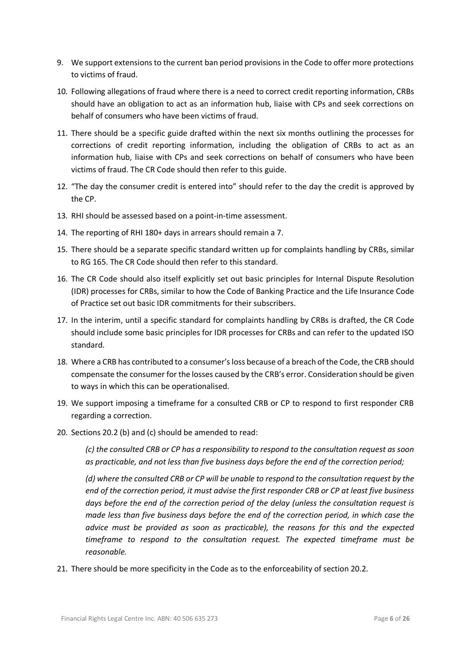- 9. We support extensions to the current ban period provisions in the Code to offer more protections to victims of fraud.
- 10. Following allegations of fraud where there is a need to correct credit reporting information, CRBs should have an obligation to act as an information hub, liaise with CPs and seek corrections on behalf of consumers who have been victims of fraud.
- 11. There should be a specific guide drafted within the next six months outlining the processes for corrections of credit reporting information, including the obligation of CRBs to act as an information hub, liaise with CPs and seek corrections on behalf of consumers who have been victims of fraud. The CR Code should then refer to this guide.
- 12. "The day the consumer credit is entered into" should refer to the day the credit is approved by the CP.
- 13. RHI should be assessed based on a point-in-time assessment.
- 14. The reporting of RHI 180+ days in arrears should remain a 7.
- 15. There should be a separate specific standard written up for complaints handling by CRBs, similar to RG 165. The CR Code should then refer to this standard.
- 16. The CR Code should also itself explicitly set out basic principles for Internal Dispute Resolution (IDR) processes for CRBs, similar to how the Code of Banking Practice and the Life Insurance Code of Practice set out basic IDR commitments for their subscribers.
- 17. In the interim, until a specific standard for complaints handling by CRBs is drafted, the CR Code should include some basic principles for IDR processes for CRBs and can refer to the updated ISO standard.
- 18. Where a CRB has contributed to a consumer's loss because of a breach of the Code, the CRB should compensate the consumer for the losses caused by the CRB's error. Consideration should be given to ways in which this can be operationalised.
- 19. We support imposing a timeframe for a consulted CRB or CP to respond to first responder CRB regarding a correction.
- 20. Sections 20.2 (b) and (c) should be amended to read:

*(c) the consulted CRB or CP has a responsibility to respond to the consultation request as soon as practicable, and not less than five business days before the end of the correction period;*

*(d) where the consulted CRB or CP will be unable to respond to the consultation request by the end of the correction period, it must advise the first responder CRB or CP at least five business days before the end of the correction period of the delay (unless the consultation request is made less than five business days before the end of the correction period, in which case the advice must be provided as soon as practicable), the reasons for this and the expected timeframe to respond to the consultation request. The expected timeframe must be reasonable.*

21. There should be more specificity in the Code as to the enforceability of section 20.2.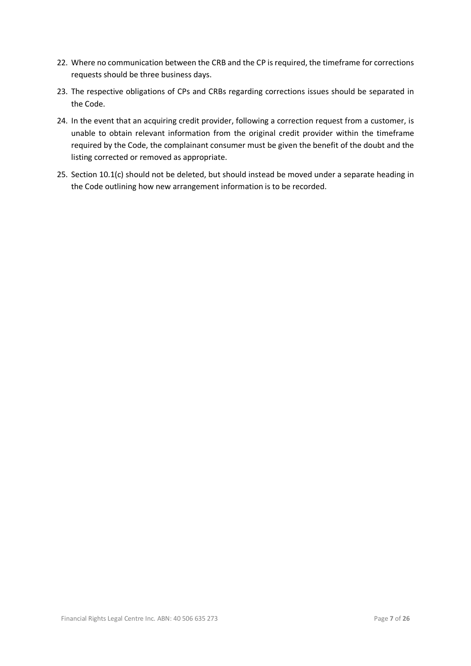- 22. Where no communication between the CRB and the CP is required, the timeframe for corrections requests should be three business days.
- 23. The respective obligations of CPs and CRBs regarding corrections issues should be separated in the Code.
- 24. In the event that an acquiring credit provider, following a correction request from a customer, is unable to obtain relevant information from the original credit provider within the timeframe required by the Code, the complainant consumer must be given the benefit of the doubt and the listing corrected or removed as appropriate.
- 25. Section 10.1(c) should not be deleted, but should instead be moved under a separate heading in the Code outlining how new arrangement information is to be recorded.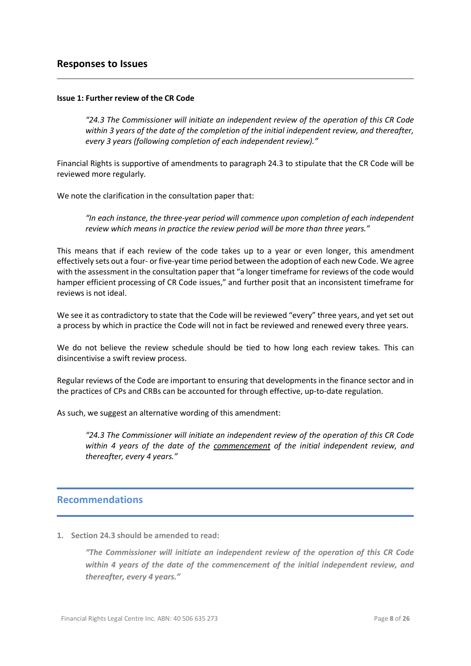## **Responses to Issues**

#### **Issue 1: Further review of the CR Code**

*"24.3 The Commissioner will initiate an independent review of the operation of this CR Code within 3 years of the date of the completion of the initial independent review, and thereafter, every 3 years (following completion of each independent review)."*

Financial Rights is supportive of amendments to paragraph 24.3 to stipulate that the CR Code will be reviewed more regularly.

We note the clarification in the consultation paper that:

*"In each instance, the three-year period will commence upon completion of each independent review which means in practice the review period will be more than three years."*

This means that if each review of the code takes up to a year or even longer, this amendment effectively sets out a four- or five-year time period between the adoption of each new Code. We agree with the assessment in the consultation paper that "a longer timeframe for reviews of the code would hamper efficient processing of CR Code issues," and further posit that an inconsistent timeframe for reviews is not ideal.

We see it as contradictory to state that the Code will be reviewed "every" three years, and yet set out a process by which in practice the Code will not in fact be reviewed and renewed every three years.

We do not believe the review schedule should be tied to how long each review takes. This can disincentivise a swift review process.

Regular reviews of the Code are important to ensuring that developments in the finance sector and in the practices of CPs and CRBs can be accounted for through effective, up-to-date regulation.

As such, we suggest an alternative wording of this amendment:

*"24.3 The Commissioner will initiate an independent review of the operation of this CR Code within 4 years of the date of the commencement of the initial independent review, and thereafter, every 4 years."*

## **Recommendations**

**1. Section 24.3 should be amended to read:**

*"The Commissioner will initiate an independent review of the operation of this CR Code within 4 years of the date of the commencement of the initial independent review, and thereafter, every 4 years."*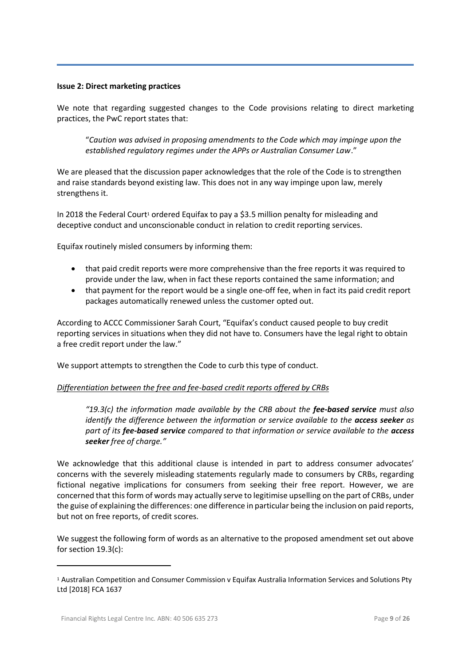### **Issue 2: Direct marketing practices**

We note that regarding suggested changes to the Code provisions relating to direct marketing practices, the PwC report states that:

"*Caution was advised in proposing amendments to the Code which may impinge upon the established regulatory regimes under the APPs or Australian Consumer Law*."

We are pleased that the discussion paper acknowledges that the role of the Code is to strengthen and raise standards beyond existing law. This does not in any way impinge upon law, merely strengthens it.

In 2018 the Federal Court<sup>1</sup> ordered Equifax to pay a \$3.5 million penalty for misleading and deceptive conduct and unconscionable conduct in relation to credit reporting services.

Equifax routinely misled consumers by informing them:

- that paid credit reports were more comprehensive than the free reports it was required to provide under the law, when in fact these reports contained the same information; and
- that payment for the report would be a single one-off fee, when in fact its paid credit report packages automatically renewed unless the customer opted out.

According to ACCC Commissioner Sarah Court, "Equifax's conduct caused people to buy credit reporting services in situations when they did not have to. Consumers have the legal right to obtain a free credit report under the law."

We support attempts to strengthen the Code to curb this type of conduct.

### *Differentiation between the free and fee-based credit reports offered by CRBs*

*"19.3(c) the information made available by the CRB about the fee-based service must also identify the difference between the information or service available to the <i>access seeker* as *part of its fee-based service compared to that information or service available to the access seeker free of charge."*

We acknowledge that this additional clause is intended in part to address consumer advocates' concerns with the severely misleading statements regularly made to consumers by CRBs, regarding fictional negative implications for consumers from seeking their free report. However, we are concerned that this form of words may actually serve to legitimise upselling on the part of CRBs, under the guise of explaining the differences: one difference in particular being the inclusion on paid reports, but not on free reports, of credit scores.

We suggest the following form of words as an alternative to the proposed amendment set out above for section 19.3(c):

**.** 

<sup>1</sup> Australian Competition and Consumer Commission v Equifax Australia Information Services and Solutions Pty Ltd [2018] FCA 1637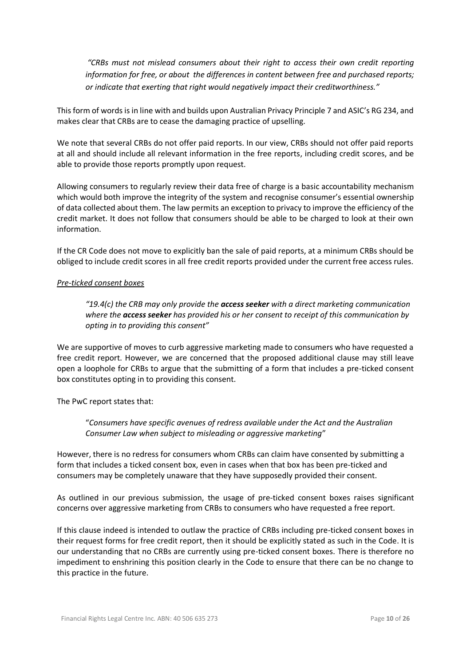*"CRBs must not mislead consumers about their right to access their own credit reporting information for free, or about the differences in content between free and purchased reports; or indicate that exerting that right would negatively impact their creditworthiness."*

This form of words is in line with and builds upon Australian Privacy Principle 7 and ASIC's RG 234, and makes clear that CRBs are to cease the damaging practice of upselling.

We note that several CRBs do not offer paid reports. In our view, CRBs should not offer paid reports at all and should include all relevant information in the free reports, including credit scores, and be able to provide those reports promptly upon request.

Allowing consumers to regularly review their data free of charge is a basic accountability mechanism which would both improve the integrity of the system and recognise consumer's essential ownership of data collected about them. The law permits an exception to privacy to improve the efficiency of the credit market. It does not follow that consumers should be able to be charged to look at their own information.

If the CR Code does not move to explicitly ban the sale of paid reports, at a minimum CRBs should be obliged to include credit scores in all free credit reports provided under the current free access rules.

### *Pre-ticked consent boxes*

*"19.4(c) the CRB may only provide the access seeker with a direct marketing communication where the access seeker has provided his or her consent to receipt of this communication by opting in to providing this consent"*

We are supportive of moves to curb aggressive marketing made to consumers who have requested a free credit report. However, we are concerned that the proposed additional clause may still leave open a loophole for CRBs to argue that the submitting of a form that includes a pre-ticked consent box constitutes opting in to providing this consent.

The PwC report states that:

"*Consumers have specific avenues of redress available under the Act and the Australian Consumer Law when subject to misleading or aggressive marketing*"

However, there is no redress for consumers whom CRBs can claim have consented by submitting a form that includes a ticked consent box, even in cases when that box has been pre-ticked and consumers may be completely unaware that they have supposedly provided their consent.

As outlined in our previous submission, the usage of pre-ticked consent boxes raises significant concerns over aggressive marketing from CRBs to consumers who have requested a free report.

If this clause indeed is intended to outlaw the practice of CRBs including pre-ticked consent boxes in their request forms for free credit report, then it should be explicitly stated as such in the Code. It is our understanding that no CRBs are currently using pre-ticked consent boxes. There is therefore no impediment to enshrining this position clearly in the Code to ensure that there can be no change to this practice in the future.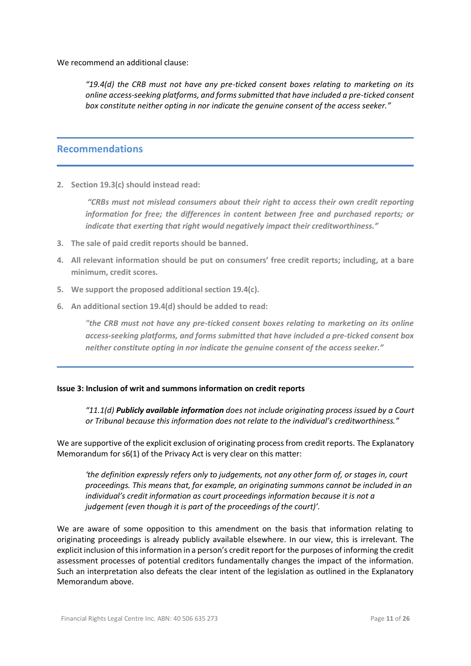We recommend an additional clause:

*"19.4(d) the CRB must not have any pre-ticked consent boxes relating to marketing on its online access-seeking platforms, and forms submitted that have included a pre-ticked consent box constitute neither opting in nor indicate the genuine consent of the access seeker."*

## **Recommendations**

**2. Section 19.3(c) should instead read:**

*"CRBs must not mislead consumers about their right to access their own credit reporting information for free; the differences in content between free and purchased reports; or indicate that exerting that right would negatively impact their creditworthiness."*

- **3. The sale of paid credit reports should be banned.**
- **4. All relevant information should be put on consumers' free credit reports; including, at a bare minimum, credit scores.**
- **5. We support the proposed additional section 19.4(c).**
- **6. An additional section 19.4(d) should be added to read:**

*"the CRB must not have any pre-ticked consent boxes relating to marketing on its online access-seeking platforms, and forms submitted that have included a pre-ticked consent box neither constitute opting in nor indicate the genuine consent of the access seeker."*

### **Issue 3: Inclusion of writ and summons information on credit reports**

*"11.1(d) Publicly available information does not include originating process issued by a Court or Tribunal because this information does not relate to the individual's creditworthiness."*

We are supportive of the explicit exclusion of originating process from credit reports. The Explanatory Memorandum for s6(1) of the Privacy Act is very clear on this matter:

*'the definition expressly refers only to judgements, not any other form of, or stages in, court proceedings. This means that, for example, an originating summons cannot be included in an individual's credit information as court proceedings information because it is not a judgement (even though it is part of the proceedings of the court)'.*

We are aware of some opposition to this amendment on the basis that information relating to originating proceedings is already publicly available elsewhere. In our view, this is irrelevant. The explicit inclusion of this information in a person's credit report for the purposes of informing the credit assessment processes of potential creditors fundamentally changes the impact of the information. Such an interpretation also defeats the clear intent of the legislation as outlined in the Explanatory Memorandum above.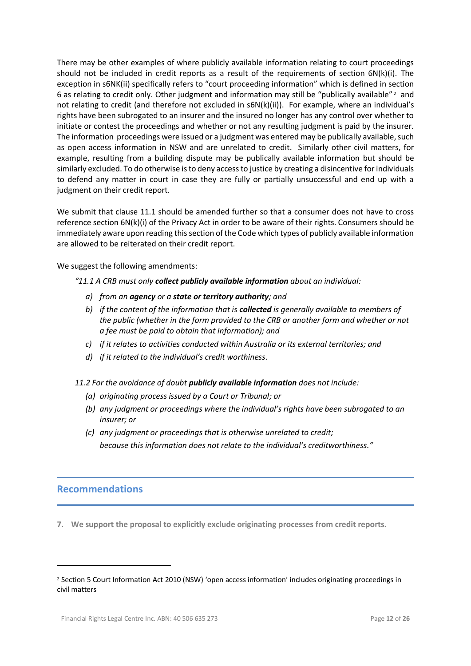There may be other examples of where publicly available information relating to court proceedings should not be included in credit reports as a result of the requirements of section 6N(k)(i). The exception in s6NK(ii) specifically refers to "court proceeding information" which is defined in section 6 as relating to credit only. Other judgment and information may still be "publically available" <sup>2</sup> and not relating to credit (and therefore not excluded in s6N(k)(ii)). For example, where an individual's rights have been subrogated to an insurer and the insured no longer has any control over whether to initiate or contest the proceedings and whether or not any resulting judgment is paid by the insurer. The information proceedings were issued or a judgment was entered may be publically available, such as open access information in NSW and are unrelated to credit. Similarly other civil matters, for example, resulting from a building dispute may be publically available information but should be similarly excluded. To do otherwise is to deny access to justice by creating a disincentive for individuals to defend any matter in court in case they are fully or partially unsuccessful and end up with a judgment on their credit report.

We submit that clause 11.1 should be amended further so that a consumer does not have to cross reference section 6N(k)(i) of the Privacy Act in order to be aware of their rights. Consumers should be immediately aware upon reading this section of the Code which types of publicly available information are allowed to be reiterated on their credit report.

We suggest the following amendments:

- *"11.1 A CRB must only collect publicly available information about an individual:* 
	- *a) from an agency or a state or territory authority; and*
	- *b) if the content of the information that is collected is generally available to members of the public (whether in the form provided to the CRB or another form and whether or not a fee must be paid to obtain that information); and*
	- *c) if it relates to activities conducted within Australia or its external territories; and*
	- *d) if it related to the individual's credit worthiness.*
- *11.2 For the avoidance of doubt publicly available information does not include:*
	- *(a) originating process issued by a Court or Tribunal; or*
	- *(b) any judgment or proceedings where the individual's rights have been subrogated to an insurer; or*
	- *(c) any judgment or proceedings that is otherwise unrelated to credit; because this information does not relate to the individual's creditworthiness."*

# **Recommendations**

**.** 

**7. We support the proposal to explicitly exclude originating processes from credit reports.**

<sup>2</sup> Section 5 Court Information Act 2010 (NSW) 'open access information' includes originating proceedings in civil matters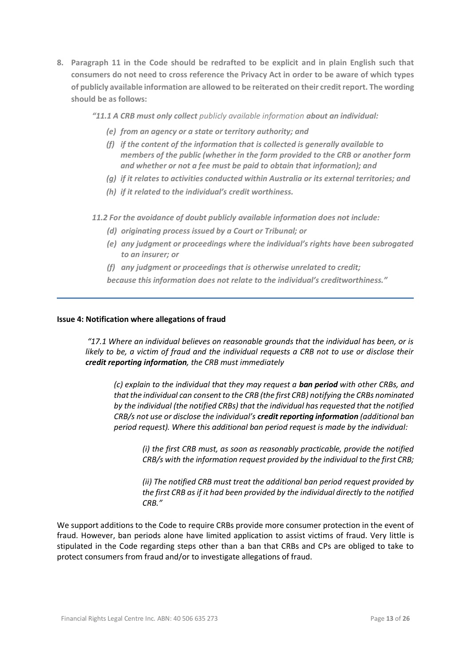**8. Paragraph 11 in the Code should be redrafted to be explicit and in plain English such that consumers do not need to cross reference the Privacy Act in order to be aware of which types of publicly available information are allowed to be reiterated on their credit report. The wording should be as follows:**

*"11.1 A CRB must only collect publicly available information about an individual:* 

- *(e) from an agency or a state or territory authority; and*
- *(f) if the content of the information that is collected is generally available to members of the public (whether in the form provided to the CRB or another form and whether or not a fee must be paid to obtain that information); and*
- *(g) if it relates to activities conducted within Australia or its external territories; and*
- *(h) if it related to the individual's credit worthiness.*
- *11.2 For the avoidance of doubt publicly available information does not include:*
	- *(d) originating process issued by a Court or Tribunal; or*
	- *(e) any judgment or proceedings where the individual's rights have been subrogated to an insurer; or*
	- *(f) any judgment or proceedings that is otherwise unrelated to credit;*
	- *because this information does not relate to the individual's creditworthiness."*

#### **Issue 4: Notification where allegations of fraud**

*"17.1 Where an individual believes on reasonable grounds that the individual has been, or is likely to be, a victim of fraud and the individual requests a CRB not to use or disclose their credit reporting information, the CRB must immediately*

*(c) explain to the individual that they may request a ban period with other CRBs, and that the individual can consent to the CRB (the first CRB) notifying the CRBs nominated by the individual (the notified CRBs) that the individual has requested that the notified CRB/s not use or disclose the individual's credit reporting information (additional ban period request). Where this additional ban period request is made by the individual:*

*(i) the first CRB must, as soon as reasonably practicable, provide the notified CRB/s with the information request provided by the individual to the first CRB;*

*(ii) The notified CRB must treat the additional ban period request provided by the first CRB as if it had been provided by the individual directly to the notified CRB."*

We support additions to the Code to require CRBs provide more consumer protection in the event of fraud. However, ban periods alone have limited application to assist victims of fraud. Very little is stipulated in the Code regarding steps other than a ban that CRBs and CPs are obliged to take to protect consumers from fraud and/or to investigate allegations of fraud.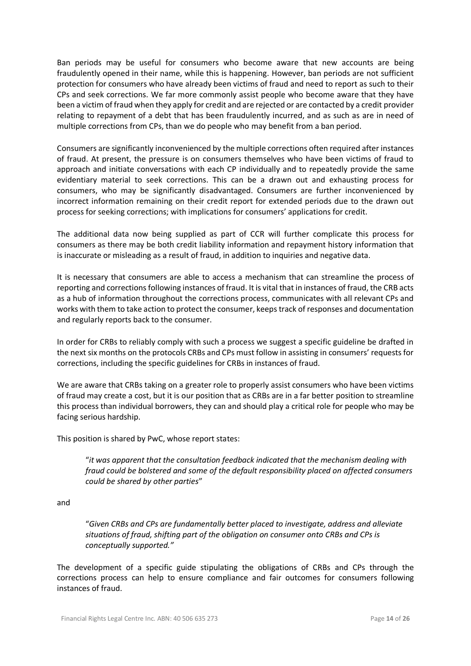Ban periods may be useful for consumers who become aware that new accounts are being fraudulently opened in their name, while this is happening. However, ban periods are not sufficient protection for consumers who have already been victims of fraud and need to report as such to their CPs and seek corrections. We far more commonly assist people who become aware that they have been a victim of fraud when they apply for credit and are rejected or are contacted by a credit provider relating to repayment of a debt that has been fraudulently incurred, and as such as are in need of multiple corrections from CPs, than we do people who may benefit from a ban period.

Consumers are significantly inconvenienced by the multiple corrections often required after instances of fraud. At present, the pressure is on consumers themselves who have been victims of fraud to approach and initiate conversations with each CP individually and to repeatedly provide the same evidentiary material to seek corrections. This can be a drawn out and exhausting process for consumers, who may be significantly disadvantaged. Consumers are further inconvenienced by incorrect information remaining on their credit report for extended periods due to the drawn out process for seeking corrections; with implications for consumers' applications for credit.

The additional data now being supplied as part of CCR will further complicate this process for consumers as there may be both credit liability information and repayment history information that is inaccurate or misleading as a result of fraud, in addition to inquiries and negative data.

It is necessary that consumers are able to access a mechanism that can streamline the process of reporting and corrections following instances of fraud. It is vital that in instances of fraud, the CRB acts as a hub of information throughout the corrections process, communicates with all relevant CPs and works with them to take action to protect the consumer, keeps track of responses and documentation and regularly reports back to the consumer.

In order for CRBs to reliably comply with such a process we suggest a specific guideline be drafted in the next six months on the protocols CRBs and CPs must follow in assisting in consumers' requests for corrections, including the specific guidelines for CRBs in instances of fraud.

We are aware that CRBs taking on a greater role to properly assist consumers who have been victims of fraud may create a cost, but it is our position that as CRBs are in a far better position to streamline this process than individual borrowers, they can and should play a critical role for people who may be facing serious hardship.

This position is shared by PwC, whose report states:

"*it was apparent that the consultation feedback indicated that the mechanism dealing with fraud could be bolstered and some of the default responsibility placed on affected consumers could be shared by other parties*"

and

"*Given CRBs and CPs are fundamentally better placed to investigate, address and alleviate situations of fraud, shifting part of the obligation on consumer onto CRBs and CPs is conceptually supported."*

The development of a specific guide stipulating the obligations of CRBs and CPs through the corrections process can help to ensure compliance and fair outcomes for consumers following instances of fraud.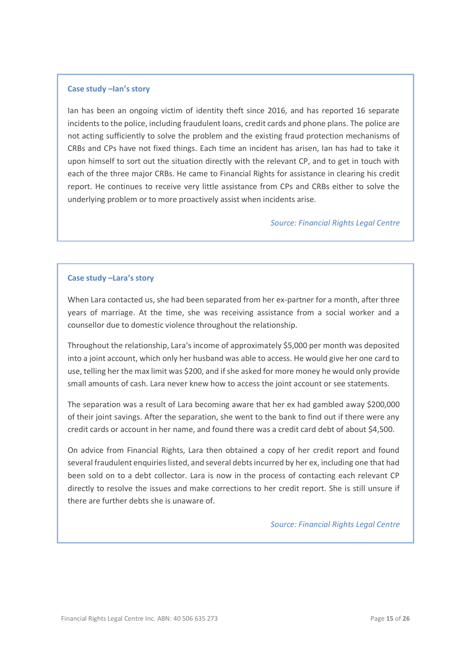#### **Case study –Ian's story**

Ian has been an ongoing victim of identity theft since 2016, and has reported 16 separate incidents to the police, including fraudulent loans, credit cards and phone plans. The police are not acting sufficiently to solve the problem and the existing fraud protection mechanisms of CRBs and CPs have not fixed things. Each time an incident has arisen, Ian has had to take it upon himself to sort out the situation directly with the relevant CP, and to get in touch with each of the three major CRBs. He came to Financial Rights for assistance in clearing his credit report. He continues to receive very little assistance from CPs and CRBs either to solve the underlying problem or to more proactively assist when incidents arise.

*Source: Financial Rights Legal Centre*

#### **Case study –Lara's story**

When Lara contacted us, she had been separated from her ex-partner for a month, after three years of marriage. At the time, she was receiving assistance from a social worker and a counsellor due to domestic violence throughout the relationship.

Throughout the relationship, Lara's income of approximately \$5,000 per month was deposited into a joint account, which only her husband was able to access. He would give her one card to use, telling her the max limit was \$200, and if she asked for more money he would only provide small amounts of cash. Lara never knew how to access the joint account or see statements.

The separation was a result of Lara becoming aware that her ex had gambled away \$200,000 of their joint savings. After the separation, she went to the bank to find out if there were any credit cards or account in her name, and found there was a credit card debt of about \$4,500.

On advice from Financial Rights, Lara then obtained a copy of her credit report and found several fraudulent enquiries listed, and several debts incurred by her ex, including one that had been sold on to a debt collector. Lara is now in the process of contacting each relevant CP directly to resolve the issues and make corrections to her credit report. She is still unsure if there are further debts she is unaware of.

*Source: Financial Rights Legal Centre*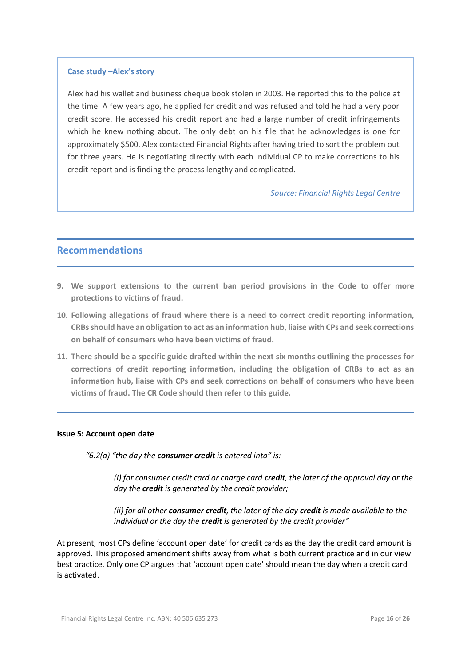### **Case study –Alex's story**

Alex had his wallet and business cheque book stolen in 2003. He reported this to the police at the time. A few years ago, he applied for credit and was refused and told he had a very poor credit score. He accessed his credit report and had a large number of credit infringements which he knew nothing about. The only debt on his file that he acknowledges is one for approximately \$500. Alex contacted Financial Rights after having tried to sort the problem out for three years. He is negotiating directly with each individual CP to make corrections to his credit report and is finding the process lengthy and complicated.

*Source: Financial Rights Legal Centre*

## **Recommendations**

- **9. We support extensions to the current ban period provisions in the Code to offer more protections to victims of fraud.**
- **10. Following allegations of fraud where there is a need to correct credit reporting information, CRBsshould have an obligation to act as an information hub, liaise with CPs and seek corrections on behalf of consumers who have been victims of fraud.**
- **11. There should be a specific guide drafted within the next six months outlining the processes for corrections of credit reporting information, including the obligation of CRBs to act as an information hub, liaise with CPs and seek corrections on behalf of consumers who have been victims of fraud. The CR Code should then refer to this guide.**

#### **Issue 5: Account open date**

*"6.2(a) "the day the consumer credit is entered into" is:*

*(i) for consumer credit card or charge card credit, the later of the approval day or the day the credit is generated by the credit provider;*

*(ii) for all other consumer credit, the later of the day credit is made available to the individual or the day the credit is generated by the credit provider"*

At present, most CPs define 'account open date' for credit cards as the day the credit card amount is approved. This proposed amendment shifts away from what is both current practice and in our view best practice. Only one CP argues that 'account open date' should mean the day when a credit card is activated.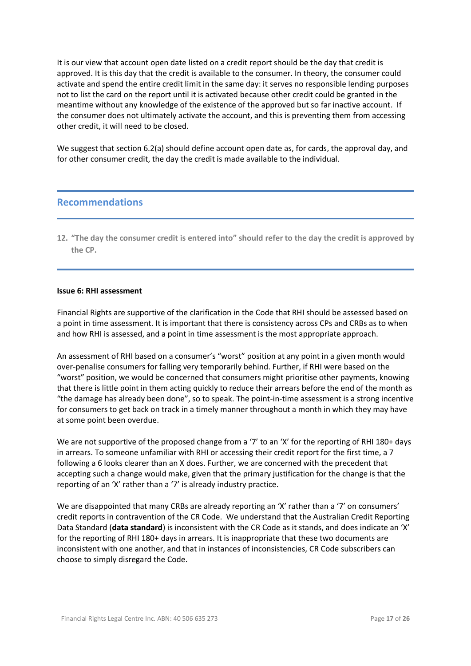It is our view that account open date listed on a credit report should be the day that credit is approved. It is this day that the credit is available to the consumer. In theory, the consumer could activate and spend the entire credit limit in the same day: it serves no responsible lending purposes not to list the card on the report until it is activated because other credit could be granted in the meantime without any knowledge of the existence of the approved but so far inactive account. If the consumer does not ultimately activate the account, and this is preventing them from accessing other credit, it will need to be closed.

We suggest that section 6.2(a) should define account open date as, for cards, the approval day, and for other consumer credit, the day the credit is made available to the individual.

## **Recommendations**

12. "The day the consumer credit is entered into" should refer to the day the credit is approved by **the CP.**

### **Issue 6: RHI assessment**

Financial Rights are supportive of the clarification in the Code that RHI should be assessed based on a point in time assessment. It is important that there is consistency across CPs and CRBs as to when and how RHI is assessed, and a point in time assessment is the most appropriate approach.

An assessment of RHI based on a consumer's "worst" position at any point in a given month would over-penalise consumers for falling very temporarily behind. Further, if RHI were based on the "worst" position, we would be concerned that consumers might prioritise other payments, knowing that there is little point in them acting quickly to reduce their arrears before the end of the month as "the damage has already been done", so to speak. The point-in-time assessment is a strong incentive for consumers to get back on track in a timely manner throughout a month in which they may have at some point been overdue.

We are not supportive of the proposed change from a '7' to an 'X' for the reporting of RHI 180+ days in arrears. To someone unfamiliar with RHI or accessing their credit report for the first time, a 7 following a 6 looks clearer than an X does. Further, we are concerned with the precedent that accepting such a change would make, given that the primary justification for the change is that the reporting of an 'X' rather than a '7' is already industry practice.

We are disappointed that many CRBs are already reporting an 'X' rather than a '7' on consumers' credit reports in contravention of the CR Code. We understand that the Australian Credit Reporting Data Standard (**data standard**) is inconsistent with the CR Code as it stands, and does indicate an 'X' for the reporting of RHI 180+ days in arrears. It is inappropriate that these two documents are inconsistent with one another, and that in instances of inconsistencies, CR Code subscribers can choose to simply disregard the Code.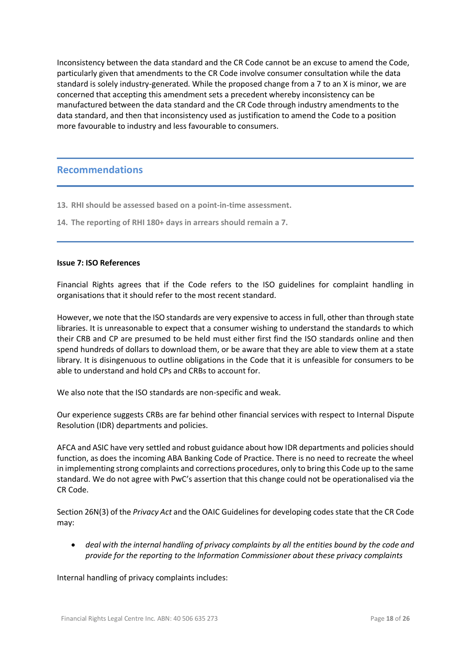Inconsistency between the data standard and the CR Code cannot be an excuse to amend the Code, particularly given that amendments to the CR Code involve consumer consultation while the data standard is solely industry-generated. While the proposed change from a 7 to an X is minor, we are concerned that accepting this amendment sets a precedent whereby inconsistency can be manufactured between the data standard and the CR Code through industry amendments to the data standard, and then that inconsistency used as justification to amend the Code to a position more favourable to industry and less favourable to consumers.

# **Recommendations**

**13. RHI should be assessed based on a point-in-time assessment.**

**14. The reporting of RHI 180+ days in arrears should remain a 7.**

### **Issue 7: ISO References**

Financial Rights agrees that if the Code refers to the ISO guidelines for complaint handling in organisations that it should refer to the most recent standard.

However, we note that the ISO standards are very expensive to access in full, other than through state libraries. It is unreasonable to expect that a consumer wishing to understand the standards to which their CRB and CP are presumed to be held must either first find the ISO standards online and then spend hundreds of dollars to download them, or be aware that they are able to view them at a state library. It is disingenuous to outline obligations in the Code that it is unfeasible for consumers to be able to understand and hold CPs and CRBs to account for.

We also note that the ISO standards are non-specific and weak.

Our experience suggests CRBs are far behind other financial services with respect to Internal Dispute Resolution (IDR) departments and policies.

AFCA and ASIC have very settled and robust guidance about how IDR departments and policies should function, as does the incoming ABA Banking Code of Practice. There is no need to recreate the wheel in implementing strong complaints and corrections procedures, only to bring this Code up to the same standard. We do not agree with PwC's assertion that this change could not be operationalised via the CR Code.

Section 26N(3) of the *Privacy Act* and the OAIC Guidelines for developing codes state that the CR Code may:

• *deal with the internal handling of privacy complaints by all the entities bound by the code and provide for the reporting to the Information Commissioner about these privacy complaints*

Internal handling of privacy complaints includes: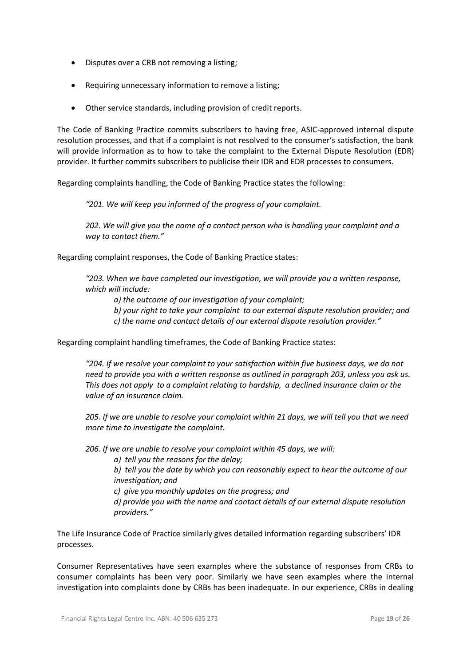- Disputes over a CRB not removing a listing;
- Requiring unnecessary information to remove a listing;
- Other service standards, including provision of credit reports.

The Code of Banking Practice commits subscribers to having free, ASIC-approved internal dispute resolution processes, and that if a complaint is not resolved to the consumer's satisfaction, the bank will provide information as to how to take the complaint to the External Dispute Resolution (EDR) provider. It further commits subscribers to publicise their IDR and EDR processes to consumers.

Regarding complaints handling, the Code of Banking Practice states the following:

*"201. We will keep you informed of the progress of your complaint.* 

*202. We will give you the name of a contact person who is handling your complaint and a way to contact them."*

Regarding complaint responses, the Code of Banking Practice states:

*"203. When we have completed our investigation, we will provide you a written response, which will include:*

*a) the outcome of our investigation of your complaint;*

*b) your right to take your complaint to our external dispute resolution provider; and* 

*c) the name and contact details of our external dispute resolution provider."*

Regarding complaint handling timeframes, the Code of Banking Practice states:

*"204. If we resolve your complaint to your satisfaction within five business days, we do not need to provide you with a written response as outlined in paragraph 203, unless you ask us. This does not apply to a complaint relating to hardship, a declined insurance claim or the value of an insurance claim.* 

*205. If we are unable to resolve your complaint within 21 days, we will tell you that we need more time to investigate the complaint.*

*206. If we are unable to resolve your complaint within 45 days, we will:*

*a) tell you the reasons for the delay;*

*b) tell you the date by which you can reasonably expect to hear the outcome of our investigation; and*

*c) give you monthly updates on the progress; and*

*d) provide you with the name and contact details of our external dispute resolution providers."*

The Life Insurance Code of Practice similarly gives detailed information regarding subscribers' IDR processes.

Consumer Representatives have seen examples where the substance of responses from CRBs to consumer complaints has been very poor. Similarly we have seen examples where the internal investigation into complaints done by CRBs has been inadequate. In our experience, CRBs in dealing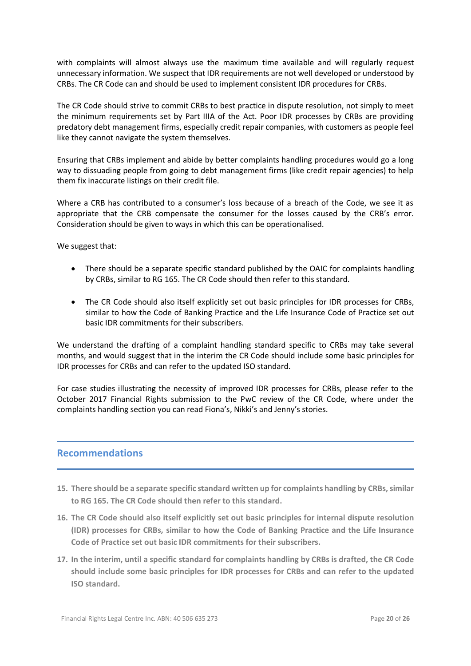with complaints will almost always use the maximum time available and will regularly request unnecessary information. We suspect that IDR requirements are not well developed or understood by CRBs. The CR Code can and should be used to implement consistent IDR procedures for CRBs.

The CR Code should strive to commit CRBs to best practice in dispute resolution, not simply to meet the minimum requirements set by Part IIIA of the Act. Poor IDR processes by CRBs are providing predatory debt management firms, especially credit repair companies, with customers as people feel like they cannot navigate the system themselves.

Ensuring that CRBs implement and abide by better complaints handling procedures would go a long way to dissuading people from going to debt management firms (like credit repair agencies) to help them fix inaccurate listings on their credit file.

Where a CRB has contributed to a consumer's loss because of a breach of the Code, we see it as appropriate that the CRB compensate the consumer for the losses caused by the CRB's error. Consideration should be given to ways in which this can be operationalised.

We suggest that:

- There should be a separate specific standard published by the OAIC for complaints handling by CRBs, similar to RG 165. The CR Code should then refer to this standard.
- The CR Code should also itself explicitly set out basic principles for IDR processes for CRBs, similar to how the Code of Banking Practice and the Life Insurance Code of Practice set out basic IDR commitments for their subscribers.

We understand the drafting of a complaint handling standard specific to CRBs may take several months, and would suggest that in the interim the CR Code should include some basic principles for IDR processes for CRBs and can refer to the updated ISO standard.

For case studies illustrating the necessity of improved IDR processes for CRBs, please refer to the October 2017 Financial Rights submission to the PwC review of the CR Code, where under the complaints handling section you can read Fiona's, Nikki's and Jenny's stories.

# **Recommendations**

- **15. There should be a separate specific standard written up for complaints handling by CRBs,similar to RG 165. The CR Code should then refer to this standard.**
- **16. The CR Code should also itself explicitly set out basic principles for internal dispute resolution (IDR) processes for CRBs, similar to how the Code of Banking Practice and the Life Insurance Code of Practice set out basic IDR commitments for their subscribers.**
- 17. In the interim, until a specific standard for complaints handling by CRBs is drafted, the CR Code **should include some basic principles for IDR processes for CRBs and can refer to the updated ISO standard.**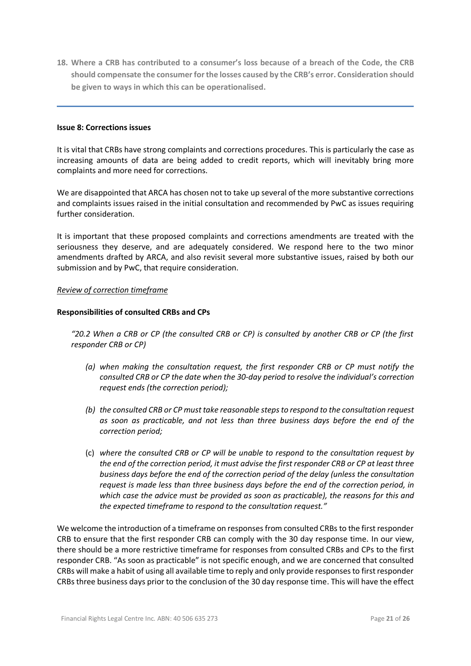18. Where a CRB has contributed to a consumer's loss because of a breach of the Code, the CRB **should compensate the consumerforthe losses caused by the CRB's error. Consideration should be given to ways in which this can be operationalised.**

#### **Issue 8: Corrections issues**

It is vital that CRBs have strong complaints and corrections procedures. This is particularly the case as increasing amounts of data are being added to credit reports, which will inevitably bring more complaints and more need for corrections.

We are disappointed that ARCA has chosen not to take up several of the more substantive corrections and complaints issues raised in the initial consultation and recommended by PwC as issues requiring further consideration.

It is important that these proposed complaints and corrections amendments are treated with the seriousness they deserve, and are adequately considered. We respond here to the two minor amendments drafted by ARCA, and also revisit several more substantive issues, raised by both our submission and by PwC, that require consideration.

### *Review of correction timeframe*

### **Responsibilities of consulted CRBs and CPs**

*"20.2 When a CRB or CP (the consulted CRB or CP) is consulted by another CRB or CP (the first responder CRB or CP)*

- *(a) when making the consultation request, the first responder CRB or CP must notify the consulted CRB or CP the date when the 30-day period to resolve the individual's correction request ends (the correction period);*
- *(b) the consulted CRB or CP must take reasonable stepsto respond to the consultation request as soon as practicable, and not less than three business days before the end of the correction period;*
- (c) *where the consulted CRB or CP will be unable to respond to the consultation request by the end of the correction period, it must advise the first responder CRB or CP at least three business days before the end of the correction period of the delay (unless the consultation request is made less than three business days before the end of the correction period, in which case the advice must be provided as soon as practicable), the reasons for this and the expected timeframe to respond to the consultation request."*

We welcome the introduction of a timeframe on responses from consulted CRBs to the first responder CRB to ensure that the first responder CRB can comply with the 30 day response time. In our view, there should be a more restrictive timeframe for responses from consulted CRBs and CPs to the first responder CRB. "As soon as practicable" is not specific enough, and we are concerned that consulted CRBs will make a habit of using all available time to reply and only provide responses to first responder CRBs three business days prior to the conclusion of the 30 day response time. This will have the effect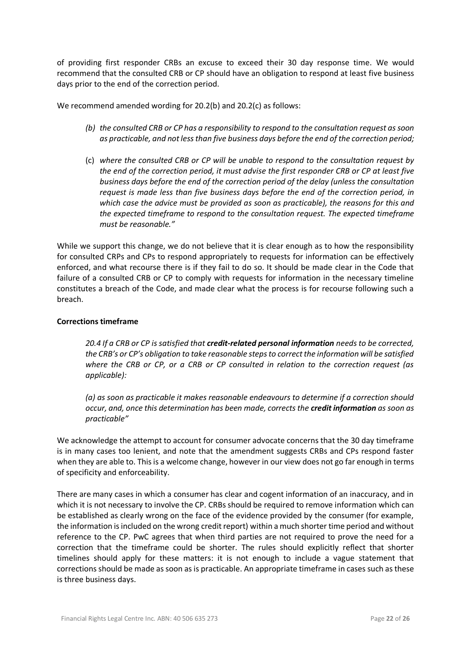of providing first responder CRBs an excuse to exceed their 30 day response time. We would recommend that the consulted CRB or CP should have an obligation to respond at least five business days prior to the end of the correction period.

We recommend amended wording for 20.2(b) and 20.2(c) as follows:

- *(b) the consulted CRB or CP has a responsibility to respond to the consultation request as soon as practicable, and notlessthan five business days before the end of the correction period;*
- (c) *where the consulted CRB or CP will be unable to respond to the consultation request by the end of the correction period, it must advise the first responder CRB or CP at least five business days before the end of the correction period of the delay (unless the consultation request is made less than five business days before the end of the correction period, in which case the advice must be provided as soon as practicable), the reasons for this and the expected timeframe to respond to the consultation request. The expected timeframe must be reasonable."*

While we support this change, we do not believe that it is clear enough as to how the responsibility for consulted CRPs and CPs to respond appropriately to requests for information can be effectively enforced, and what recourse there is if they fail to do so. It should be made clear in the Code that failure of a consulted CRB or CP to comply with requests for information in the necessary timeline constitutes a breach of the Code, and made clear what the process is for recourse following such a breach.

### **Corrections timeframe**

*20.4 If a CRB or CP is satisfied that credit-related personal information needs to be corrected, the CRB's or CP's obligation to take reasonable steps to correct the information will be satisfied where the CRB or CP, or a CRB or CP consulted in relation to the correction request (as applicable):*

*(a) as soon as practicable it makes reasonable endeavours to determine if a correction should occur, and, once this determination has been made, corrects the credit information as soon as practicable"*

We acknowledge the attempt to account for consumer advocate concerns that the 30 day timeframe is in many cases too lenient, and note that the amendment suggests CRBs and CPs respond faster when they are able to. This is a welcome change, however in our view does not go far enough in terms of specificity and enforceability.

There are many cases in which a consumer has clear and cogent information of an inaccuracy, and in which it is not necessary to involve the CP. CRBs should be required to remove information which can be established as clearly wrong on the face of the evidence provided by the consumer (for example, the information is included on the wrong credit report) within a much shorter time period and without reference to the CP. PwC agrees that when third parties are not required to prove the need for a correction that the timeframe could be shorter. The rules should explicitly reflect that shorter timelines should apply for these matters: it is not enough to include a vague statement that corrections should be made as soon as is practicable. An appropriate timeframe in cases such as these is three business days.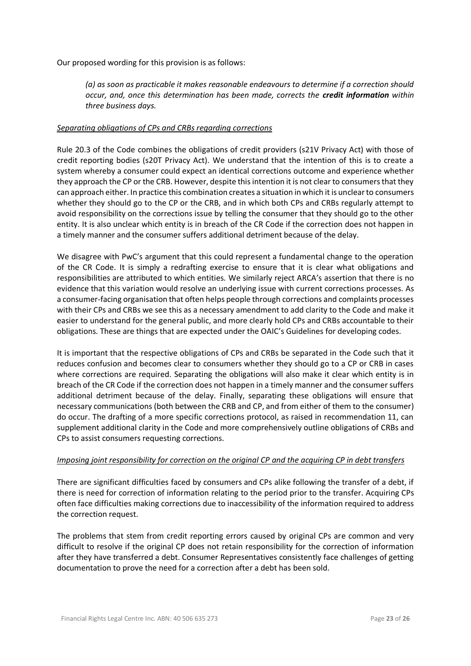Our proposed wording for this provision is as follows:

*(a) as soon as practicable it makes reasonable endeavours to determine if a correction should occur, and, once this determination has been made, corrects the credit information within three business days.*

### *Separating obligations of CPs and CRBs regarding corrections*

Rule 20.3 of the Code combines the obligations of credit providers (s21V Privacy Act) with those of credit reporting bodies (s20T Privacy Act). We understand that the intention of this is to create a system whereby a consumer could expect an identical corrections outcome and experience whether they approach the CP or the CRB. However, despite this intention it is not clear to consumers that they can approach either. In practice this combination creates a situation in which it is unclear to consumers whether they should go to the CP or the CRB, and in which both CPs and CRBs regularly attempt to avoid responsibility on the corrections issue by telling the consumer that they should go to the other entity. It is also unclear which entity is in breach of the CR Code if the correction does not happen in a timely manner and the consumer suffers additional detriment because of the delay.

We disagree with PwC's argument that this could represent a fundamental change to the operation of the CR Code. It is simply a redrafting exercise to ensure that it is clear what obligations and responsibilities are attributed to which entities. We similarly reject ARCA's assertion that there is no evidence that this variation would resolve an underlying issue with current corrections processes. As a consumer-facing organisation that often helps people through corrections and complaints processes with their CPs and CRBs we see this as a necessary amendment to add clarity to the Code and make it easier to understand for the general public, and more clearly hold CPs and CRBs accountable to their obligations. These are things that are expected under the OAIC's Guidelines for developing codes.

It is important that the respective obligations of CPs and CRBs be separated in the Code such that it reduces confusion and becomes clear to consumers whether they should go to a CP or CRB in cases where corrections are required. Separating the obligations will also make it clear which entity is in breach of the CR Code if the correction does not happen in a timely manner and the consumer suffers additional detriment because of the delay. Finally, separating these obligations will ensure that necessary communications (both between the CRB and CP, and from either of them to the consumer) do occur. The drafting of a more specific corrections protocol, as raised in recommendation 11, can supplement additional clarity in the Code and more comprehensively outline obligations of CRBs and CPs to assist consumers requesting corrections.

### *Imposing joint responsibility for correction on the original CP and the acquiring CP in debt transfers*

There are significant difficulties faced by consumers and CPs alike following the transfer of a debt, if there is need for correction of information relating to the period prior to the transfer. Acquiring CPs often face difficulties making corrections due to inaccessibility of the information required to address the correction request.

The problems that stem from credit reporting errors caused by original CPs are common and very difficult to resolve if the original CP does not retain responsibility for the correction of information after they have transferred a debt. Consumer Representatives consistently face challenges of getting documentation to prove the need for a correction after a debt has been sold.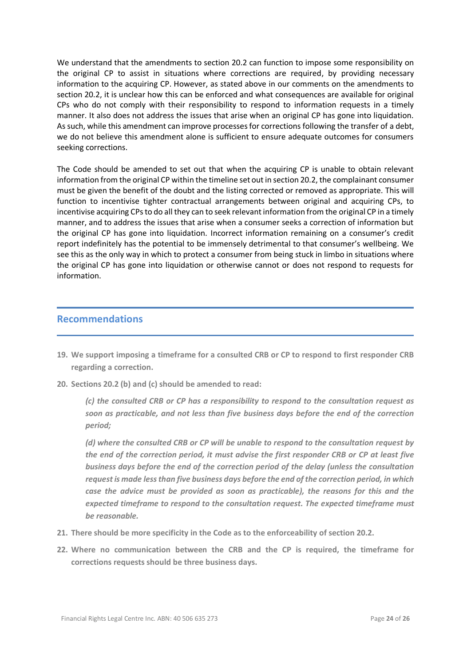We understand that the amendments to section 20.2 can function to impose some responsibility on the original CP to assist in situations where corrections are required, by providing necessary information to the acquiring CP. However, as stated above in our comments on the amendments to section 20.2, it is unclear how this can be enforced and what consequences are available for original CPs who do not comply with their responsibility to respond to information requests in a timely manner. It also does not address the issues that arise when an original CP has gone into liquidation. As such, while this amendment can improve processes for corrections following the transfer of a debt, we do not believe this amendment alone is sufficient to ensure adequate outcomes for consumers seeking corrections.

The Code should be amended to set out that when the acquiring CP is unable to obtain relevant information from the original CP within the timeline set out in section 20.2, the complainant consumer must be given the benefit of the doubt and the listing corrected or removed as appropriate. This will function to incentivise tighter contractual arrangements between original and acquiring CPs, to incentivise acquiring CPs to do all they can to seek relevant information from the original CP in a timely manner, and to address the issues that arise when a consumer seeks a correction of information but the original CP has gone into liquidation. Incorrect information remaining on a consumer's credit report indefinitely has the potential to be immensely detrimental to that consumer's wellbeing. We see this as the only way in which to protect a consumer from being stuck in limbo in situations where the original CP has gone into liquidation or otherwise cannot or does not respond to requests for information.

## **Recommendations**

- **19. We support imposing a timeframe for a consulted CRB or CP to respond to first responder CRB regarding a correction.**
- **20. Sections 20.2 (b) and (c) should be amended to read:**

*(c) the consulted CRB or CP has a responsibility to respond to the consultation request as soon as practicable, and not less than five business days before the end of the correction period;*

*(d) where the consulted CRB or CP will be unable to respond to the consultation request by the end of the correction period, it must advise the first responder CRB or CP at least five business days before the end of the correction period of the delay (unless the consultation request is made lessthan five business days before the end of the correction period, in which case the advice must be provided as soon as practicable), the reasons for this and the expected timeframe to respond to the consultation request. The expected timeframe must be reasonable.*

- **21. There should be more specificity in the Code as to the enforceability of section 20.2.**
- **22. Where no communication between the CRB and the CP is required, the timeframe for corrections requests should be three business days.**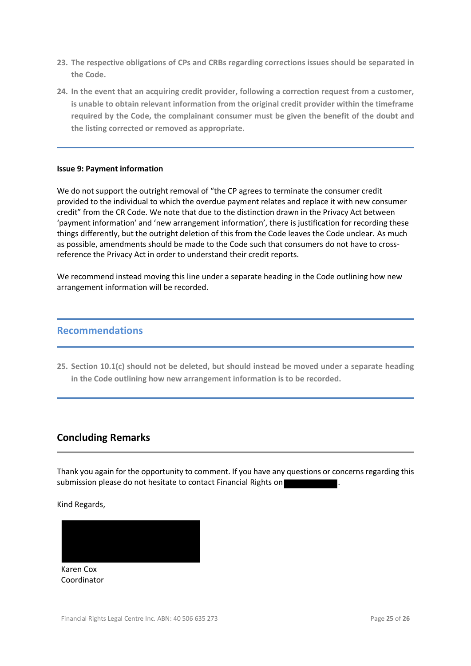- **23. The respective obligations of CPs and CRBs regarding corrections issues should be separated in the Code.**
- **24. In the event that an acquiring credit provider, following a correction request from a customer, is unable to obtain relevant information from the original credit provider within the timeframe required by the Code, the complainant consumer must be given the benefit of the doubt and the listing corrected or removed as appropriate.**

### **Issue 9: Payment information**

We do not support the outright removal of "the CP agrees to terminate the consumer credit provided to the individual to which the overdue payment relates and replace it with new consumer credit" from the CR Code. We note that due to the distinction drawn in the Privacy Act between 'payment information' and 'new arrangement information', there is justification for recording these things differently, but the outright deletion of this from the Code leaves the Code unclear. As much as possible, amendments should be made to the Code such that consumers do not have to crossreference the Privacy Act in order to understand their credit reports.

We recommend instead moving this line under a separate heading in the Code outlining how new arrangement information will be recorded.

## **Recommendations**

**25. Section 10.1(c) should not be deleted, but should instead be moved under a separate heading in the Code outlining how new arrangement information is to be recorded.**

# **Concluding Remarks**

Thank you again for the opportunity to comment. If you have any questions or concerns regarding this submission please do not hesitate to contact Financial Rights on

Kind Regards,



Karen Cox Coordinator